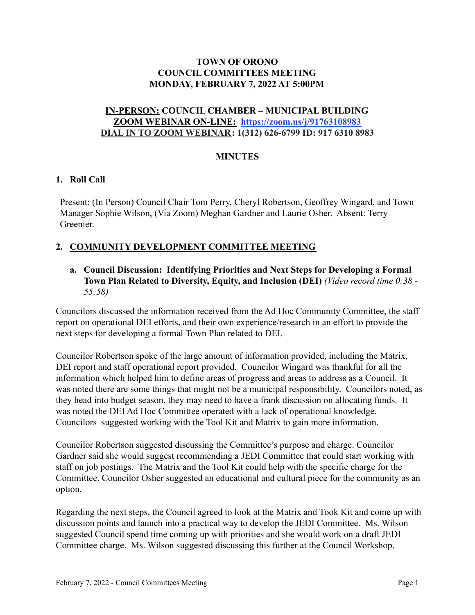### **TOWN OF ORONO COUNCIL COMMITTEES MEETING MONDAY, FEBRUARY 7, 2022 AT 5:00PM**

### **IN-PERSON: COUNCIL CHAMBER – MUNICIPAL BUILDING ZOOM WEBINAR ON-LINE: <https://zoom.us/j/91763108983> DIAL IN TO ZOOM WEBINAR: 1(312) 626-6799 ID: 917 6310 8983**

### **MINUTES**

### **1. Roll Call**

Present: (In Person) Council Chair Tom Perry, Cheryl Robertson, Geoffrey Wingard, and Town Manager Sophie Wilson, (Via Zoom) Meghan Gardner and Laurie Osher. Absent: Terry Greenier.

# **2. COMMUNITY DEVELOPMENT COMMITTEE MEETING**

### **a. Council Discussion: Identifying Priorities and Next Steps for Developing a Formal Town Plan Related to Diversity, Equity, and Inclusion (DEI)** *(Video record time 0:38 - 55:58)*

Councilors discussed the information received from the Ad Hoc Community Committee, the staff report on operational DEI efforts, and their own experience/research in an effort to provide the next steps for developing a formal Town Plan related to DEI.

Councilor Robertson spoke of the large amount of information provided, including the Matrix, DEI report and staff operational report provided. Councilor Wingard was thankful for all the information which helped him to define areas of progress and areas to address as a Council. It was noted there are some things that might not be a municipal responsibility. Councilors noted, as they head into budget season, they may need to have a frank discussion on allocating funds. It was noted the DEI Ad Hoc Committee operated with a lack of operational knowledge. Councilors suggested working with the Tool Kit and Matrix to gain more information.

Councilor Robertson suggested discussing the Committee's purpose and charge. Councilor Gardner said she would suggest recommending a JEDI Committee that could start working with staff on job postings. The Matrix and the Tool Kit could help with the specific charge for the Committee. Councilor Osher suggested an educational and cultural piece for the community as an option.

Regarding the next steps, the Council agreed to look at the Matrix and Took Kit and come up with discussion points and launch into a practical way to develop the JEDI Committee. Ms. Wilson suggested Council spend time coming up with priorities and she would work on a draft JEDI Committee charge. Ms. Wilson suggested discussing this further at the Council Workshop.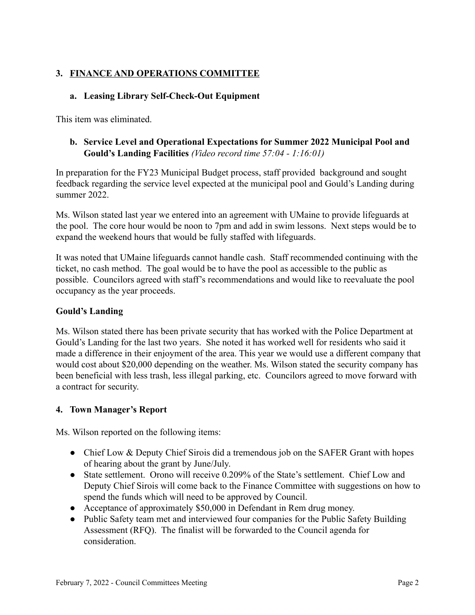# **3. FINANCE AND OPERATIONS COMMITTEE**

## **a. Leasing Library Self-Check-Out Equipment**

This item was eliminated.

### **b. Service Level and Operational Expectations for Summer 2022 Municipal Pool and Gould's Landing Facilities** *(Video record time 57:04 - 1:16:01)*

In preparation for the FY23 Municipal Budget process, staff provided background and sought feedback regarding the service level expected at the municipal pool and Gould's Landing during summer 2022.

Ms. Wilson stated last year we entered into an agreement with UMaine to provide lifeguards at the pool. The core hour would be noon to 7pm and add in swim lessons. Next steps would be to expand the weekend hours that would be fully staffed with lifeguards.

It was noted that UMaine lifeguards cannot handle cash. Staff recommended continuing with the ticket, no cash method. The goal would be to have the pool as accessible to the public as possible. Councilors agreed with staff's recommendations and would like to reevaluate the pool occupancy as the year proceeds.

#### **Gould's Landing**

Ms. Wilson stated there has been private security that has worked with the Police Department at Gould's Landing for the last two years. She noted it has worked well for residents who said it made a difference in their enjoyment of the area. This year we would use a different company that would cost about \$20,000 depending on the weather. Ms. Wilson stated the security company has been beneficial with less trash, less illegal parking, etc. Councilors agreed to move forward with a contract for security.

#### **4. Town Manager's Report**

Ms. Wilson reported on the following items:

- Chief Low & Deputy Chief Sirois did a tremendous job on the SAFER Grant with hopes of hearing about the grant by June/July.
- State settlement. Orono will receive 0.209% of the State's settlement. Chief Low and Deputy Chief Sirois will come back to the Finance Committee with suggestions on how to spend the funds which will need to be approved by Council.
- Acceptance of approximately \$50,000 in Defendant in Rem drug money.
- Public Safety team met and interviewed four companies for the Public Safety Building Assessment (RFQ). The finalist will be forwarded to the Council agenda for consideration.